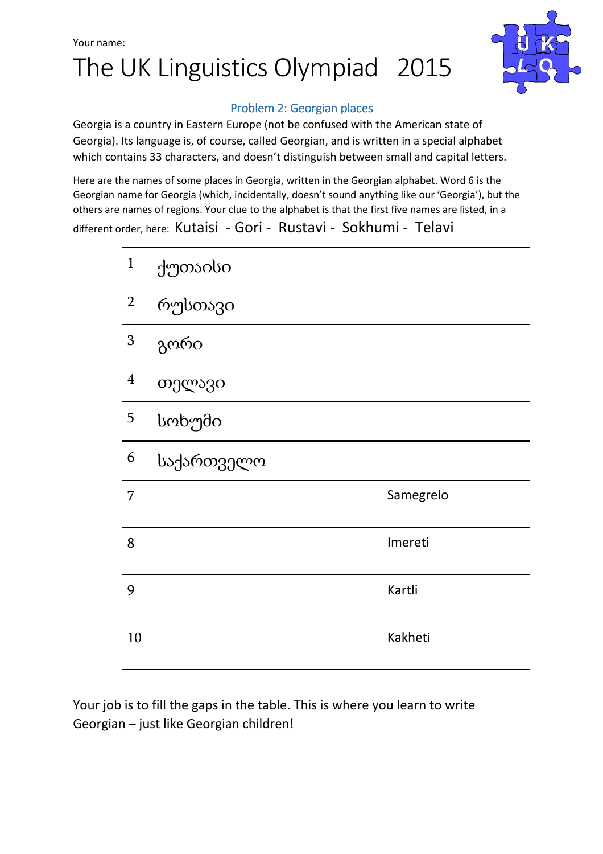## Your name: The UK Linguistics Olympiad 2015



#### Problem 2: Georgian places

Georgia is a country in Eastern Europe (not be confused with the American state of Georgia). Its language is, of course, called Georgian, and is written in a special alphabet which contains 33 characters, and doesn't distinguish between small and capital letters.

Here are the names of some places in Georgia, written in the Georgian alphabet. Word 6 is the Georgian name for Georgia (which, incidentally, doesn't sound anything like our 'Georgia'), but the others are names of regions. Your clue to the alphabet is that the first five names are listed, in a different order, here: Kutaisi - Gori - Rustavi - Sokhumi - Telavi

| $\mathbf{1}$   | ქუთაისი    |           |
|----------------|------------|-----------|
| $\overline{2}$ | რუსთავი    |           |
| 3              | გორი       |           |
| $\overline{4}$ | თელავი     |           |
| 5              | სოხუმი     |           |
| 6              | საქართველო |           |
| 7              |            | Samegrelo |
| 8              |            | Imereti   |
| 9              |            | Kartli    |
| 10             |            | Kakheti   |

Your job is to fill the gaps in the table. This is where you learn to write Georgian – just like Georgian children!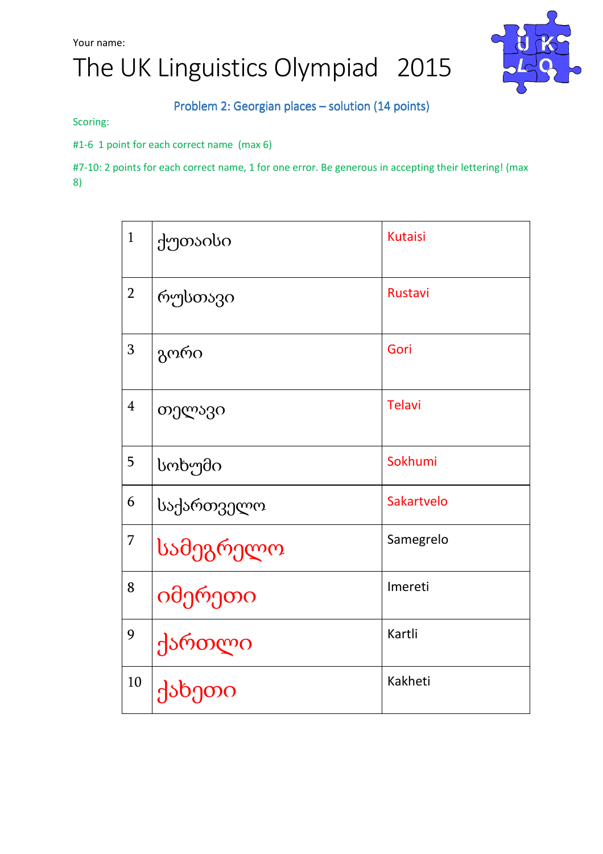# The UK Linguistics Olympiad 2015



#### Problem 2: Georgian places – solution (14 points)

Scoring:

#1-6 1 point for each correct name (max 6)

#7-10: 2 points for each correct name, 1 for one error. Be generous in accepting their lettering! (max 8)

| $\mathbf{1}$   | ქუთაისი    | <b>Kutaisi</b> |
|----------------|------------|----------------|
| $\overline{2}$ | რუსთავი    | Rustavi        |
| 3              | გორი       | Gori           |
| $\overline{4}$ | თელავი     | <b>Telavi</b>  |
| 5              | სოხუმი     | Sokhumi        |
| 6              | საქართველო | Sakartvelo     |
| $\overline{7}$ | სამეგრელო  | Samegrelo      |
| 8              | იმერეთი    | Imereti        |
| 9              | ქართლი     | Kartli         |
| 10             | ქახეთი     | Kakheti        |